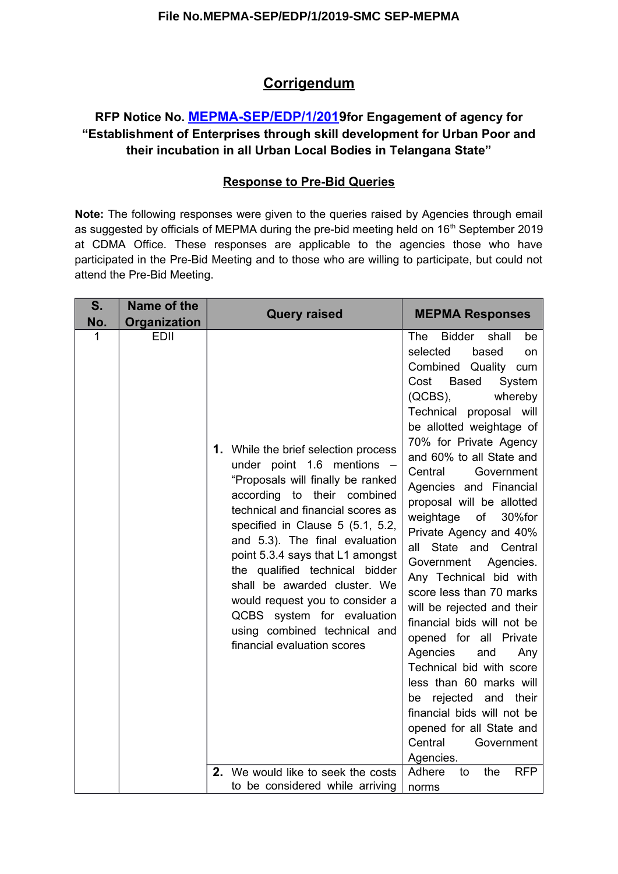# **Corrigendum**

## **RFP Notice No. [MEPMA-SEP/EDP/1/2019](https://eoffice.telangana.gov.in/eFileTG/?x=pxecpvCC-gJ8-gtOviEmGqLlJkYhFTOM)for Engagement of agency for "Establishment of Enterprises through skill development for Urban Poor and their incubation in all Urban Local Bodies in Telangana State"**

#### **Response to Pre-Bid Queries**

**Note:** The following responses were given to the queries raised by Agencies through email as suggested by officials of MEPMA during the pre-bid meeting held on 16<sup>th</sup> September 2019 at CDMA Office. These responses are applicable to the agencies those who have participated in the Pre-Bid Meeting and to those who are willing to participate, but could not attend the Pre-Bid Meeting.

| S.<br>No. | Name of the<br>Organization | <b>Query raised</b>                                                                                                                                                                                                                                                                                                                                                                                                                                                                                | <b>MEPMA Responses</b>                                                                                                                                                                                                                                                                                                                                                                                                                                                                                                                                                                                                                                                                                                                                                                                                                                     |
|-----------|-----------------------------|----------------------------------------------------------------------------------------------------------------------------------------------------------------------------------------------------------------------------------------------------------------------------------------------------------------------------------------------------------------------------------------------------------------------------------------------------------------------------------------------------|------------------------------------------------------------------------------------------------------------------------------------------------------------------------------------------------------------------------------------------------------------------------------------------------------------------------------------------------------------------------------------------------------------------------------------------------------------------------------------------------------------------------------------------------------------------------------------------------------------------------------------------------------------------------------------------------------------------------------------------------------------------------------------------------------------------------------------------------------------|
| 1         | <b>EDII</b>                 | <b>1.</b> While the brief selection process<br>under point $1.6$ mentions $-$<br>"Proposals will finally be ranked<br>according to their combined<br>technical and financial scores as<br>specified in Clause 5 (5.1, 5.2,<br>and 5.3). The final evaluation<br>point 5.3.4 says that L1 amongst<br>the qualified technical bidder<br>shall be awarded cluster. We<br>would request you to consider a<br>QCBS system for evaluation<br>using combined technical and<br>financial evaluation scores | <b>The</b><br>Bidder<br>shall<br>be<br>selected<br>based<br>on<br>Combined Quality cum<br><b>Based</b><br>Cost<br>System<br>$(QCBS)$ ,<br>whereby<br>Technical proposal will<br>be allotted weightage of<br>70% for Private Agency<br>and 60% to all State and<br>Central<br>Government<br>Agencies and Financial<br>proposal will be allotted<br>weightage<br>30%for<br>of<br>Private Agency and 40%<br>State and Central<br>all<br>Government Agencies.<br>Any Technical bid with<br>score less than 70 marks<br>will be rejected and their<br>financial bids will not be<br>opened for all Private<br>Agencies<br>and<br>Any<br>Technical bid with score<br>less than 60 marks will<br>rejected<br>and their<br>be<br>financial bids will not be<br>opened for all State and<br>Central<br>Government<br>Agencies.<br>Adhere<br>the<br><b>RFP</b><br>to |
|           |                             | 2. We would like to seek the costs<br>to be considered while arriving                                                                                                                                                                                                                                                                                                                                                                                                                              | norms                                                                                                                                                                                                                                                                                                                                                                                                                                                                                                                                                                                                                                                                                                                                                                                                                                                      |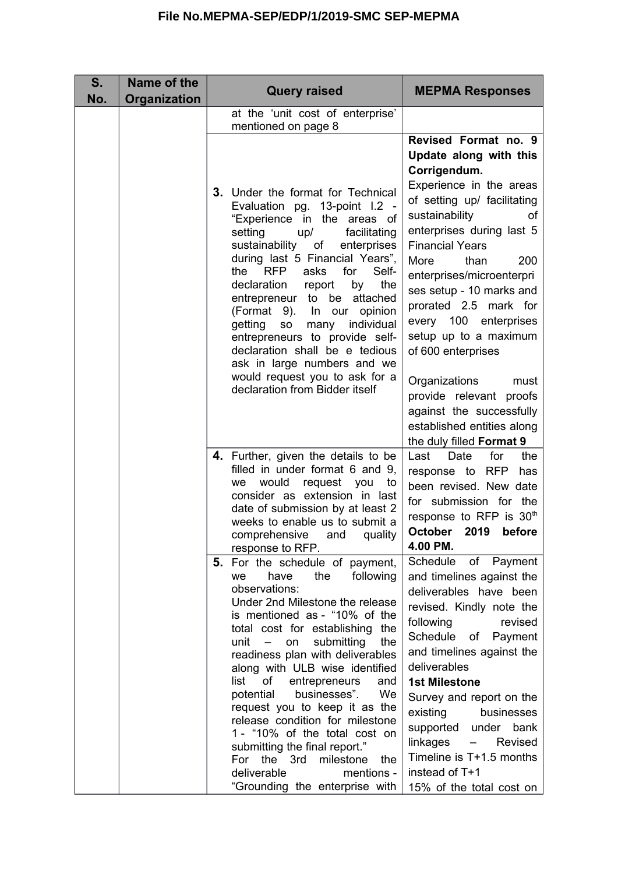| S.<br>No. | Name of the<br>Organization | <b>Query raised</b>                                                                                                                                                                                                                                                                                                                                                                                                                                                                                                                                                                                                        | <b>MEPMA Responses</b>                                                                                                                                                                                                                                                                                                                                                                                                                                                                                                             |
|-----------|-----------------------------|----------------------------------------------------------------------------------------------------------------------------------------------------------------------------------------------------------------------------------------------------------------------------------------------------------------------------------------------------------------------------------------------------------------------------------------------------------------------------------------------------------------------------------------------------------------------------------------------------------------------------|------------------------------------------------------------------------------------------------------------------------------------------------------------------------------------------------------------------------------------------------------------------------------------------------------------------------------------------------------------------------------------------------------------------------------------------------------------------------------------------------------------------------------------|
|           |                             | at the 'unit cost of enterprise'<br>mentioned on page 8                                                                                                                                                                                                                                                                                                                                                                                                                                                                                                                                                                    |                                                                                                                                                                                                                                                                                                                                                                                                                                                                                                                                    |
|           |                             | 3. Under the format for Technical<br>Evaluation pg. 13-point I.2 -<br>"Experience in the areas of<br>facilitating<br>setting<br>up/<br>sustainability of<br>enterprises<br>during last 5 Financial Years",<br>Self-<br><b>RFP</b><br>asks<br>for<br>the<br>declaration<br>the<br>report<br>by<br>entrepreneur to<br>be attached<br>(Format 9).<br>In our<br>opinion<br>getting<br>individual<br>many<br><b>SO</b><br>entrepreneurs to provide self-<br>declaration shall be e tedious<br>ask in large numbers and we<br>would request you to ask for a<br>declaration from Bidder itself                                   | Revised Format no. 9<br>Update along with this<br>Corrigendum.<br>Experience in the areas<br>of setting up/ facilitating<br>sustainability<br>οf<br>enterprises during last 5<br><b>Financial Years</b><br>than<br>200<br>More<br>enterprises/microenterpri<br>ses setup - 10 marks and<br>prorated 2.5 mark for<br>every 100 enterprises<br>setup up to a maximum<br>of 600 enterprises<br>Organizations<br>must<br>provide relevant proofs<br>against the successfully<br>established entities along<br>the duly filled Format 9 |
|           |                             | 4. Further, given the details to be<br>filled in under format 6 and 9,<br>would<br>request you<br>to<br>we<br>consider as extension in last<br>date of submission by at least 2<br>weeks to enable us to submit a<br>quality<br>comprehensive<br>and<br>response to RFP.                                                                                                                                                                                                                                                                                                                                                   | Date<br>the<br>Last<br>for<br>response to RFP<br>has<br>been revised. New date<br>for submission for the<br>response to RFP is 30th<br>October 2019<br>before<br>4.00 PM.                                                                                                                                                                                                                                                                                                                                                          |
|           |                             | 5. For the schedule of payment,<br>have<br>the<br>following<br>we<br>observations:<br>Under 2nd Milestone the release<br>is mentioned as - "10% of the<br>total cost for establishing the<br>submitting<br>$unit -$<br>the<br>on<br>readiness plan with deliverables<br>along with ULB wise identified<br>list<br>entrepreneurs<br>of<br>and<br>businesses".<br>potential<br>We<br>request you to keep it as the<br>release condition for milestone<br>1 - "10% of the total cost on<br>submitting the final report."<br>the 3rd<br>milestone<br>For<br>the<br>deliverable<br>mentions -<br>"Grounding the enterprise with | Schedule<br>of Payment<br>and timelines against the<br>deliverables have been<br>revised. Kindly note the<br>following<br>revised<br>Schedule<br>of<br>Payment<br>and timelines against the<br>deliverables<br><b>1st Milestone</b><br>Survey and report on the<br>existing<br>businesses<br>supported under<br>bank<br>linkages<br>Revised<br>$-$<br>Timeline is T+1.5 months<br>instead of T+1<br>15% of the total cost on                                                                                                       |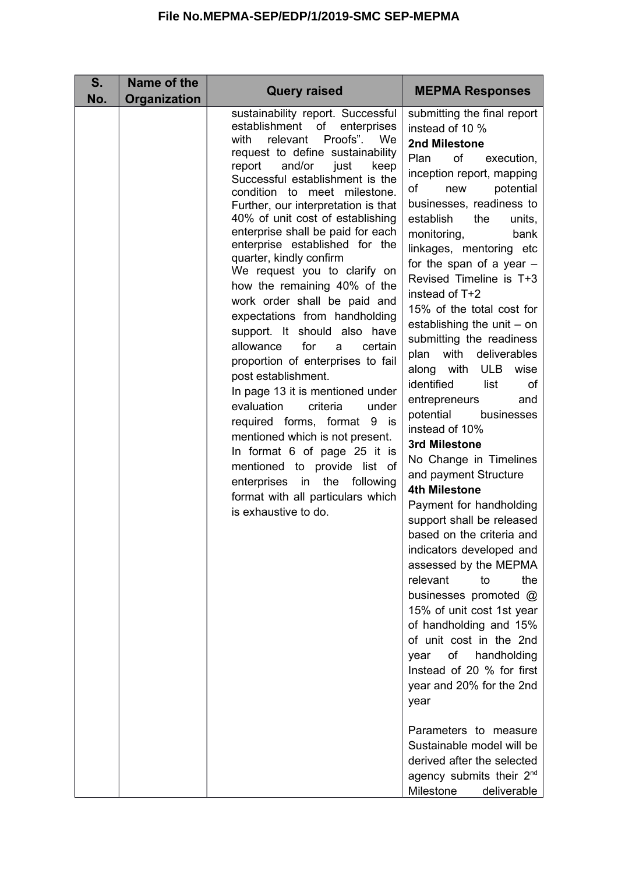| S.<br>No. | Name of the<br>Organization | <b>Query raised</b>                                                                                                                                                                                                                                                                                                                                                                                                                                                                                                                                                                                                                                                                                                                                                                                                                                                                                                                                                                                          | <b>MEPMA Responses</b>                                                                                                                                                                                                                                                                                                                                                                                                                                                                                                                                                                                                                                                                                                                                                                                                                                                                                                                                                                                                                                                                                                                                                                                         |
|-----------|-----------------------------|--------------------------------------------------------------------------------------------------------------------------------------------------------------------------------------------------------------------------------------------------------------------------------------------------------------------------------------------------------------------------------------------------------------------------------------------------------------------------------------------------------------------------------------------------------------------------------------------------------------------------------------------------------------------------------------------------------------------------------------------------------------------------------------------------------------------------------------------------------------------------------------------------------------------------------------------------------------------------------------------------------------|----------------------------------------------------------------------------------------------------------------------------------------------------------------------------------------------------------------------------------------------------------------------------------------------------------------------------------------------------------------------------------------------------------------------------------------------------------------------------------------------------------------------------------------------------------------------------------------------------------------------------------------------------------------------------------------------------------------------------------------------------------------------------------------------------------------------------------------------------------------------------------------------------------------------------------------------------------------------------------------------------------------------------------------------------------------------------------------------------------------------------------------------------------------------------------------------------------------|
|           |                             | sustainability report. Successful<br>establishment<br>of<br>enterprises<br>Proofs".<br>relevant<br>We<br>with<br>request to define sustainability<br>report<br>and/or<br>just<br>keep<br>Successful establishment is the<br>condition to meet milestone.<br>Further, our interpretation is that<br>40% of unit cost of establishing<br>enterprise shall be paid for each<br>enterprise established for the<br>quarter, kindly confirm<br>We request you to clarify on<br>how the remaining 40% of the<br>work order shall be paid and<br>expectations from handholding<br>support. It should also have<br>for<br>allowance<br>certain<br>a<br>proportion of enterprises to fail<br>post establishment.<br>In page 13 it is mentioned under<br>evaluation<br>criteria<br>under<br>required forms, format 9 is<br>mentioned which is not present.<br>In format 6 of page 25 it is<br>mentioned to provide list of<br>enterprises in the following<br>format with all particulars which<br>is exhaustive to do. | submitting the final report<br>instead of 10 %<br>2nd Milestone<br>of<br>Plan<br>execution,<br>inception report, mapping<br>of<br>potential<br>new<br>businesses, readiness to<br>establish<br>the<br>units,<br>monitoring,<br>bank<br>linkages, mentoring etc<br>for the span of a year $-$<br>Revised Timeline is T+3<br>instead of T+2<br>15% of the total cost for<br>establishing the unit - on<br>submitting the readiness<br>with deliverables<br>plan<br>along with ULB<br>wise<br>identified<br>list<br>of<br>entrepreneurs<br>and<br>potential<br>businesses<br>instead of 10%<br>3rd Milestone<br>No Change in Timelines<br>and payment Structure<br><b>4th Milestone</b><br>Payment for handholding<br>support shall be released<br>based on the criteria and<br>indicators developed and<br>assessed by the MEPMA<br>relevant<br>the<br>to<br>businesses promoted @<br>15% of unit cost 1st year<br>of handholding and 15%<br>of unit cost in the 2nd<br>of handholding<br>year<br>Instead of 20 % for first<br>year and 20% for the 2nd<br>year<br>Parameters to measure<br>Sustainable model will be<br>derived after the selected<br>agency submits their $2^{nd}$<br>Milestone<br>deliverable |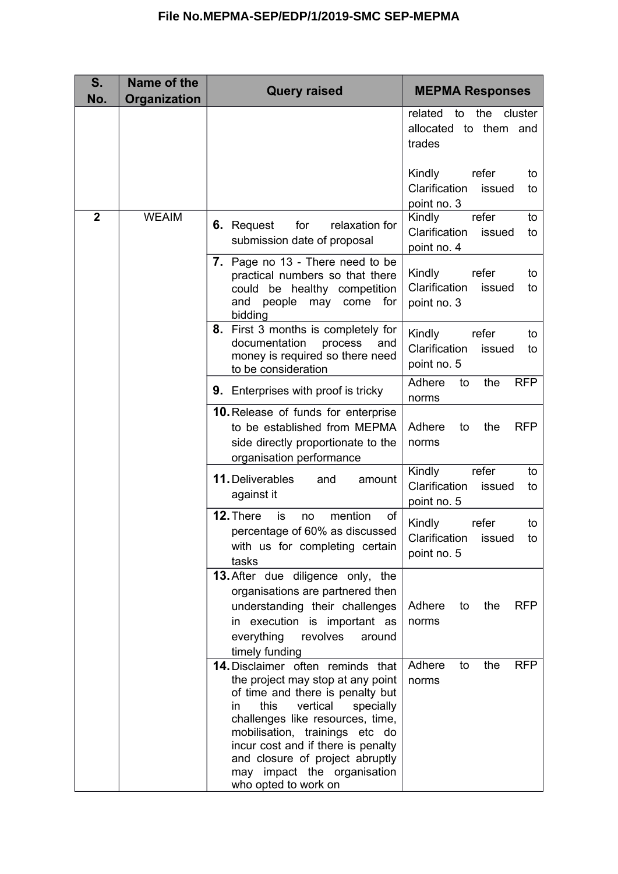| S.<br>No.      | Name of the<br>Organization | <b>Query raised</b>                                                                                                                                                                                                                                                                                                                                             | <b>MEPMA Responses</b>                                                |
|----------------|-----------------------------|-----------------------------------------------------------------------------------------------------------------------------------------------------------------------------------------------------------------------------------------------------------------------------------------------------------------------------------------------------------------|-----------------------------------------------------------------------|
|                |                             |                                                                                                                                                                                                                                                                                                                                                                 | related<br>the<br>cluster<br>to<br>allocated to them and<br>trades    |
|                |                             |                                                                                                                                                                                                                                                                                                                                                                 | Kindly<br>refer<br>to<br>Clarification<br>issued<br>to<br>point no. 3 |
| $\overline{2}$ | <b>WEAIM</b>                | for<br>relaxation for<br>6. Request<br>submission date of proposal                                                                                                                                                                                                                                                                                              | refer<br>Kindly<br>to<br>Clarification<br>issued<br>to<br>point no. 4 |
|                |                             | 7. Page no 13 - There need to be<br>practical numbers so that there<br>could be healthy competition<br>and<br>people<br>for<br>may come<br>bidding                                                                                                                                                                                                              | Kindly<br>refer<br>to<br>Clarification<br>issued<br>to<br>point no. 3 |
|                |                             | 8. First 3 months is completely for<br>documentation<br>process<br>and<br>money is required so there need<br>to be consideration                                                                                                                                                                                                                                | Kindly<br>refer<br>to<br>Clarification<br>issued<br>to<br>point no. 5 |
|                |                             | <b>9.</b> Enterprises with proof is tricky                                                                                                                                                                                                                                                                                                                      | Adhere<br>the<br><b>RFP</b><br>to<br>norms                            |
|                |                             | 10. Release of funds for enterprise<br>to be established from MEPMA<br>side directly proportionate to the<br>organisation performance                                                                                                                                                                                                                           | <b>RFP</b><br>Adhere<br>to<br>the<br>norms                            |
|                |                             | 11. Deliverables<br>and<br>amount<br>against it                                                                                                                                                                                                                                                                                                                 | Kindly<br>refer<br>to<br>Clarification<br>issued<br>to<br>point no. 5 |
|                |                             | 12. There<br>of<br>is<br>mention<br>no<br>percentage of 60% as discussed<br>with us for completing certain<br>tasks                                                                                                                                                                                                                                             | refer<br>Kindly<br>to<br>Clarification issued<br>to<br>point no. 5    |
|                |                             | 13. After due diligence only, the<br>organisations are partnered then<br>understanding their challenges<br>in execution is important as<br>everything<br>revolves<br>around<br>timely funding                                                                                                                                                                   | Adhere<br><b>RFP</b><br>the<br>to<br>norms                            |
|                |                             | <b>14.</b> Disclaimer often reminds that<br>the project may stop at any point<br>of time and there is penalty but<br>this<br>vertical<br>in.<br>specially<br>challenges like resources, time,<br>mobilisation, trainings etc do<br>incur cost and if there is penalty<br>and closure of project abruptly<br>may impact the organisation<br>who opted to work on | Adhere<br><b>RFP</b><br>the<br>to<br>norms                            |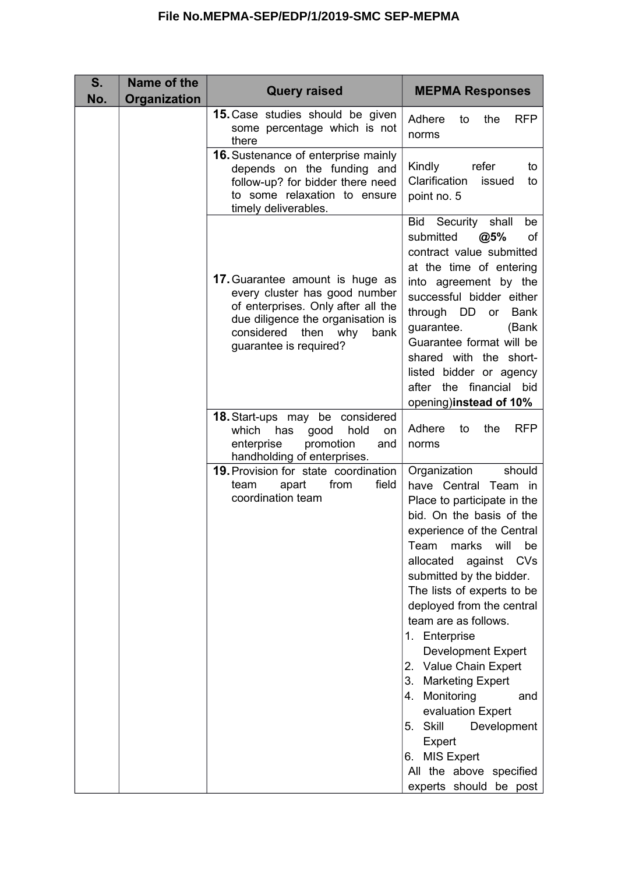| S.<br>No. | Name of the<br><b>Organization</b> | <b>Query raised</b>                                                                                                                                                                                        | <b>MEPMA Responses</b>                                                                                                                                                                                                                                                                                                                                                                                                                                                                                                                                                              |
|-----------|------------------------------------|------------------------------------------------------------------------------------------------------------------------------------------------------------------------------------------------------------|-------------------------------------------------------------------------------------------------------------------------------------------------------------------------------------------------------------------------------------------------------------------------------------------------------------------------------------------------------------------------------------------------------------------------------------------------------------------------------------------------------------------------------------------------------------------------------------|
|           |                                    | <b>15.</b> Case studies should be given<br>some percentage which is not<br>there                                                                                                                           | Adhere<br><b>RFP</b><br>the<br>to<br>norms                                                                                                                                                                                                                                                                                                                                                                                                                                                                                                                                          |
|           |                                    | <b>16.</b> Sustenance of enterprise mainly<br>depends on the funding and<br>follow-up? for bidder there need<br>to some relaxation to ensure<br>timely deliverables.                                       | Kindly<br>refer<br>to<br>Clarification<br>issued<br>to<br>point no. 5                                                                                                                                                                                                                                                                                                                                                                                                                                                                                                               |
|           |                                    | 17. Guarantee amount is huge as<br>every cluster has good number<br>of enterprises. Only after all the<br>due diligence the organisation is<br>considered<br>then<br>why<br>bank<br>guarantee is required? | Bid<br>Security shall<br>be<br>submitted<br>@5%<br>οf<br>contract value submitted<br>at the time of entering<br>into agreement by the<br>successful bidder either<br>through DD<br><b>Bank</b><br>or<br>guarantee.<br>(Bank<br>Guarantee format will be<br>shared with the short-<br>listed bidder or agency<br>after the financial bid<br>opening)instead of 10%                                                                                                                                                                                                                   |
|           |                                    | 18. Start-ups may be considered<br>hold<br>which<br>good<br>has<br>on<br>enterprise<br>promotion<br>and<br>handholding of enterprises.                                                                     | <b>RFP</b><br>Adhere<br>to<br>the<br>norms                                                                                                                                                                                                                                                                                                                                                                                                                                                                                                                                          |
|           |                                    | <b>19. Provision for state coordination</b><br>field<br>apart<br>from<br>team<br>coordination team                                                                                                         | Organization<br>should<br>have Central Team in<br>Place to participate in the<br>bid. On the basis of the<br>experience of the Central<br>will<br>Team<br>marks<br>be<br>allocated<br>against<br><b>CVs</b><br>submitted by the bidder.<br>The lists of experts to be<br>deployed from the central<br>team are as follows.<br>1. Enterprise<br><b>Development Expert</b><br>2. Value Chain Expert<br>3. Marketing Expert<br>Monitoring<br>4.<br>and<br>evaluation Expert<br>5. Skill<br>Development<br>Expert<br>6. MIS Expert<br>All the above specified<br>experts should be post |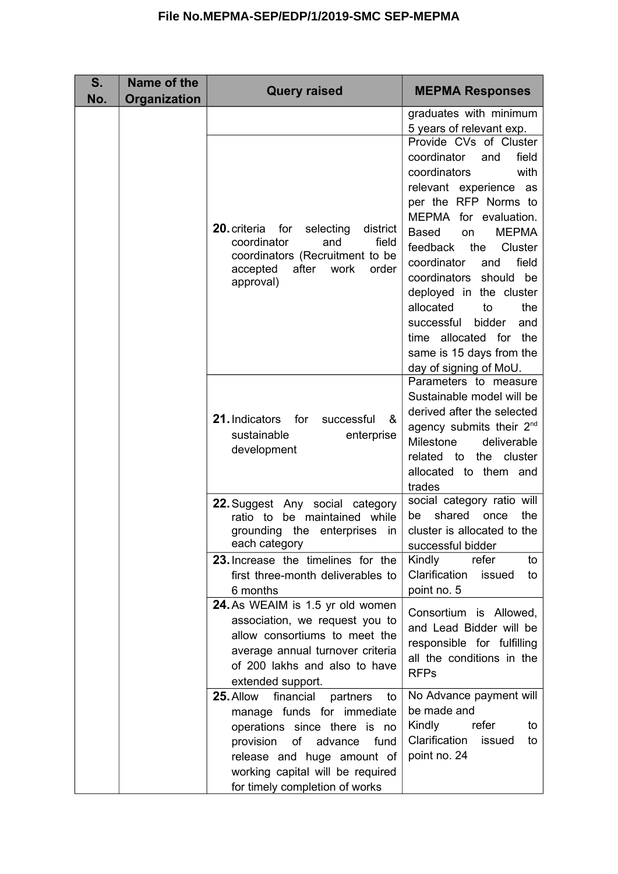| S.<br>No. | Name of the<br>Organization | <b>Query raised</b>                                                                                                                                                                                                                              | <b>MEPMA Responses</b>                                                                                                                                                                                                                                                                                                                                                                                                                                       |
|-----------|-----------------------------|--------------------------------------------------------------------------------------------------------------------------------------------------------------------------------------------------------------------------------------------------|--------------------------------------------------------------------------------------------------------------------------------------------------------------------------------------------------------------------------------------------------------------------------------------------------------------------------------------------------------------------------------------------------------------------------------------------------------------|
|           |                             |                                                                                                                                                                                                                                                  | graduates with minimum<br>5 years of relevant exp.                                                                                                                                                                                                                                                                                                                                                                                                           |
|           |                             | 20. criteria<br>for<br>selecting<br>district<br>coordinator<br>and<br>field<br>coordinators (Recruitment to be<br>after<br>work<br>order<br>accepted<br>approval)                                                                                | Provide CVs of Cluster<br>coordinator<br>field<br>and<br>coordinators<br>with<br>relevant experience as<br>per the RFP Norms to<br>MEPMA for evaluation.<br><b>MEPMA</b><br><b>Based</b><br>on<br>feedback<br>the<br>Cluster<br>coordinator<br>field<br>and<br>coordinators should be<br>deployed in the cluster<br>allocated<br>to<br>the<br>bidder<br>successful<br>and<br>the<br>time allocated for<br>same is 15 days from the<br>day of signing of MoU. |
|           |                             | 21. Indicators<br>for<br>&<br>successful<br>sustainable<br>enterprise<br>development                                                                                                                                                             | Parameters to measure<br>Sustainable model will be<br>derived after the selected<br>agency submits their 2 <sup>nd</sup><br>Milestone<br>deliverable<br>related to the cluster<br>allocated to them and<br>trades                                                                                                                                                                                                                                            |
|           |                             | 22. Suggest Any social category<br>ratio to be maintained while<br>grounding the enterprises<br>in<br>each category                                                                                                                              | social category ratio will<br>shared<br>the<br>once<br>be<br>cluster is allocated to the<br>successful bidder                                                                                                                                                                                                                                                                                                                                                |
|           |                             | 23. Increase the timelines for the<br>first three-month deliverables to<br>6 months                                                                                                                                                              | Kindly<br>refer<br>to<br>Clarification<br>issued<br>to<br>point no. 5                                                                                                                                                                                                                                                                                                                                                                                        |
|           |                             | 24. As WEAIM is 1.5 yr old women<br>association, we request you to<br>allow consortiums to meet the<br>average annual turnover criteria<br>of 200 lakhs and also to have<br>extended support.                                                    | Consortium is Allowed,<br>and Lead Bidder will be<br>responsible for fulfilling<br>all the conditions in the<br><b>RFPs</b>                                                                                                                                                                                                                                                                                                                                  |
|           |                             | financial<br>25. Allow<br>partners<br>to<br>manage funds for immediate<br>operations since there is no<br>provision<br>of<br>fund<br>advance<br>release and huge amount of<br>working capital will be required<br>for timely completion of works | No Advance payment will<br>be made and<br>Kindly<br>refer<br>to<br>Clarification<br>issued<br>to<br>point no. 24                                                                                                                                                                                                                                                                                                                                             |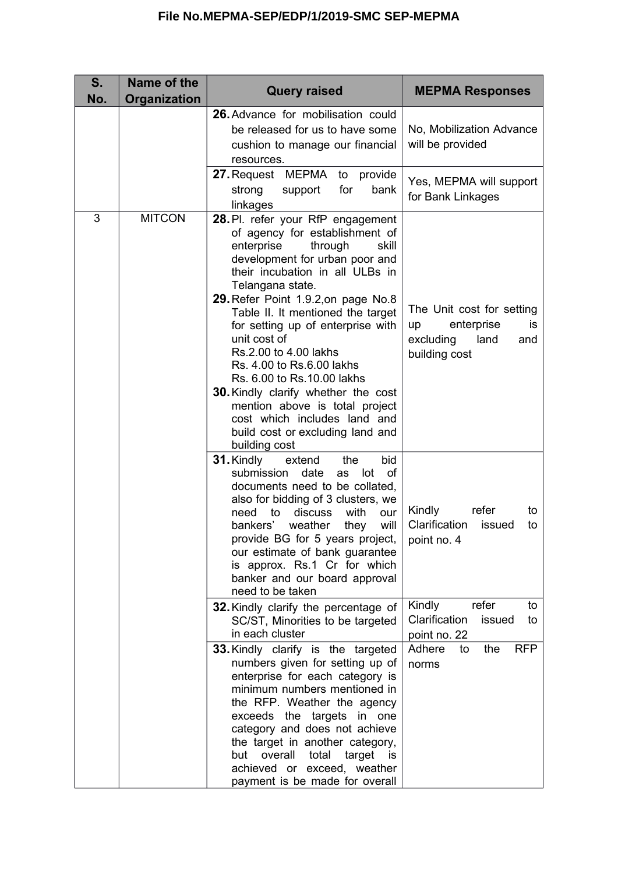| S.<br>No. | Name of the<br>Organization | <b>Query raised</b>                                                                                                                                                                                                                                                                                                                                                                                                                                                                                                                                                                       | <b>MEPMA Responses</b>                                                                            |
|-----------|-----------------------------|-------------------------------------------------------------------------------------------------------------------------------------------------------------------------------------------------------------------------------------------------------------------------------------------------------------------------------------------------------------------------------------------------------------------------------------------------------------------------------------------------------------------------------------------------------------------------------------------|---------------------------------------------------------------------------------------------------|
|           |                             | 26. Advance for mobilisation could<br>be released for us to have some<br>cushion to manage our financial<br>resources.                                                                                                                                                                                                                                                                                                                                                                                                                                                                    | No, Mobilization Advance<br>will be provided                                                      |
|           |                             | 27. Request MEPMA to provide<br>strong<br>bank<br>support<br>for<br>linkages                                                                                                                                                                                                                                                                                                                                                                                                                                                                                                              | Yes, MEPMA will support<br>for Bank Linkages                                                      |
| 3         | <b>MITCON</b>               | 28. Pl. refer your RfP engagement<br>of agency for establishment of<br>enterprise<br>through<br>skill<br>development for urban poor and<br>their incubation in all ULBs in<br>Telangana state.<br>29. Refer Point 1.9.2, on page No.8<br>Table II. It mentioned the target<br>for setting up of enterprise with<br>unit cost of<br>Rs.2.00 to 4.00 lakhs<br>Rs. 4.00 to Rs.6.00 lakhs<br>Rs. 6.00 to Rs. 10.00 lakhs<br><b>30. Kindly clarify whether the cost</b><br>mention above is total project<br>cost which includes land and<br>build cost or excluding land and<br>building cost | The Unit cost for setting<br>enterprise<br>up<br>is.<br>land<br>excluding<br>and<br>building cost |
|           |                             | 31. Kindly<br>bid<br>extend<br>the<br>submission<br>date<br>lot<br>οf<br>as<br>documents need to be collated,<br>also for bidding of 3 clusters, we<br>with<br>need to discuss<br>our<br>bankers' weather<br>they<br>will<br>provide BG for 5 years project,<br>our estimate of bank guarantee<br>is approx. Rs.1 Cr for which<br>banker and our board approval<br>need to be taken                                                                                                                                                                                                       | Kindly<br>refer<br>to<br>Clarification<br>issued<br>to<br>point no. 4                             |
|           |                             | 32. Kindly clarify the percentage of<br>SC/ST, Minorities to be targeted<br>in each cluster                                                                                                                                                                                                                                                                                                                                                                                                                                                                                               | refer<br>Kindly<br>to<br>Clarification<br>issued<br>to<br>point no. 22                            |
|           |                             | <b>33. Kindly clarify is the targeted</b><br>numbers given for setting up of<br>enterprise for each category is<br>minimum numbers mentioned in<br>the RFP. Weather the agency<br>exceeds the targets in one<br>category and does not achieve<br>the target in another category,<br>overall<br>but<br>total<br>target<br>is is<br>achieved or exceed, weather<br>payment is be made for overall                                                                                                                                                                                           | Adhere<br><b>RFP</b><br>the<br>to<br>norms                                                        |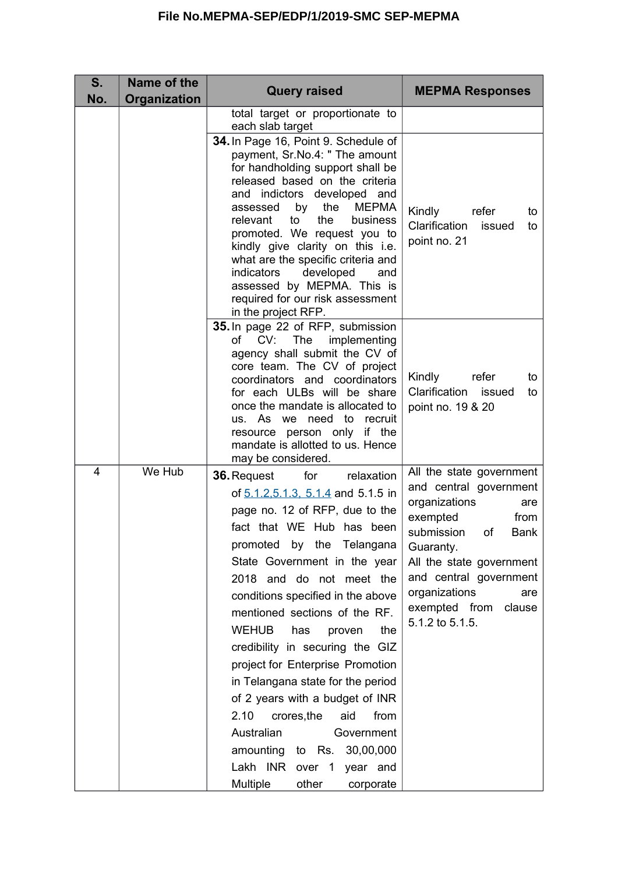| S.<br>No. | Name of the<br>Organization | <b>Query raised</b>                                                                                                                                                                                                                                                                                                                                                                                                                                                                                                                                                                                                                                                           | <b>MEPMA Responses</b>                                                                                                                                                                                                                                                     |
|-----------|-----------------------------|-------------------------------------------------------------------------------------------------------------------------------------------------------------------------------------------------------------------------------------------------------------------------------------------------------------------------------------------------------------------------------------------------------------------------------------------------------------------------------------------------------------------------------------------------------------------------------------------------------------------------------------------------------------------------------|----------------------------------------------------------------------------------------------------------------------------------------------------------------------------------------------------------------------------------------------------------------------------|
|           |                             | total target or proportionate to<br>each slab target                                                                                                                                                                                                                                                                                                                                                                                                                                                                                                                                                                                                                          |                                                                                                                                                                                                                                                                            |
|           |                             | 34. In Page 16, Point 9. Schedule of<br>payment, Sr.No.4: " The amount<br>for handholding support shall be<br>released based on the criteria<br>and indictors developed and<br>the<br><b>MEPMA</b><br>by<br>assessed<br>to<br>the<br>relevant<br>business<br>promoted. We request you to<br>kindly give clarity on this i.e.<br>what are the specific criteria and<br>indicators<br>developed<br>and<br>assessed by MEPMA. This is<br>required for our risk assessment<br>in the project RFP.                                                                                                                                                                                 | Kindly<br>refer<br>to<br>Clarification<br>issued<br>to<br>point no. 21                                                                                                                                                                                                     |
|           |                             | 35. In page 22 of RFP, submission<br>of CV: The<br>implementing<br>agency shall submit the CV of<br>core team. The CV of project<br>coordinators and coordinators<br>for each ULBs will be share<br>once the mandate is allocated to<br>us. As we need to recruit<br>resource person only if the<br>mandate is allotted to us. Hence<br>may be considered.                                                                                                                                                                                                                                                                                                                    | Kindly<br>refer<br>to<br>Clarification<br>issued<br>to<br>point no. 19 & 20                                                                                                                                                                                                |
| 4         | We Hub                      | for<br>relaxation<br><b>36. Request</b><br>of 5.1.2, 5.1.3, 5.1.4 and 5.1.5 in<br>page no. 12 of RFP, due to the<br>fact that WE Hub has been<br>by the Telangana<br>promoted<br>State Government in the year<br>2018 and do not meet the<br>conditions specified in the above<br>mentioned sections of the RF.<br><b>WEHUB</b><br>has<br>the<br>proven<br>credibility in securing the GIZ<br>project for Enterprise Promotion<br>in Telangana state for the period<br>of 2 years with a budget of INR<br>2.10<br>from<br>crores, the<br>aid<br>Australian<br>Government<br>amounting<br>30,00,000<br>to Rs.<br>Lakh INR over 1<br>year and<br>Multiple<br>other<br>corporate | All the state government<br>and central government<br>organizations<br>are<br>exempted<br>from<br>submission<br>οf<br><b>Bank</b><br>Guaranty.<br>All the state government<br>and central government<br>organizations<br>are<br>exempted from<br>clause<br>5.1.2 to 5.1.5. |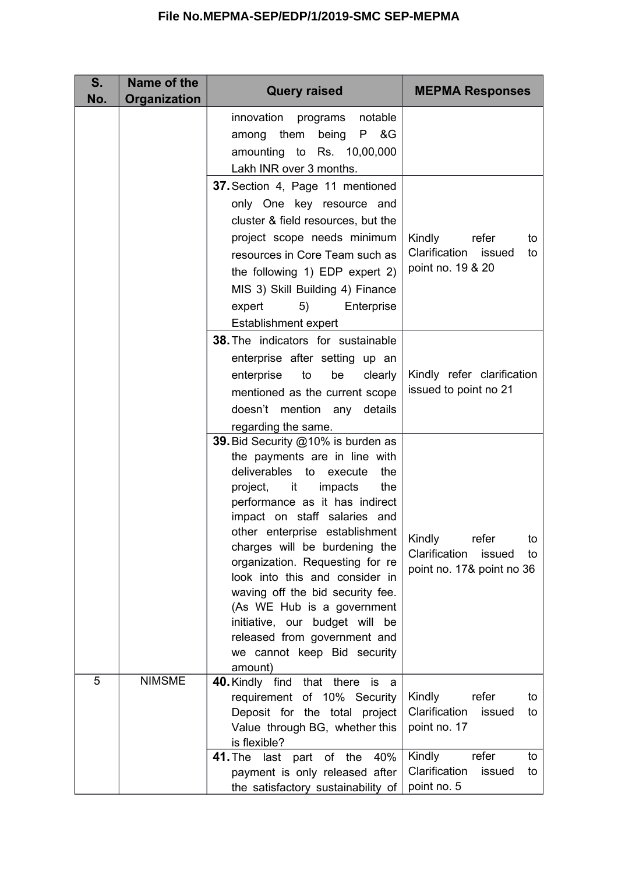| S.<br>No. | Name of the<br><b>Organization</b> | <b>Query raised</b>                                                                                                                                                                                                                                                                                                                                                                                                                                                                                                               | <b>MEPMA Responses</b>                                                              |
|-----------|------------------------------------|-----------------------------------------------------------------------------------------------------------------------------------------------------------------------------------------------------------------------------------------------------------------------------------------------------------------------------------------------------------------------------------------------------------------------------------------------------------------------------------------------------------------------------------|-------------------------------------------------------------------------------------|
|           |                                    | notable<br>innovation<br>programs<br>being P &G<br>among them<br>amounting to Rs. 10,00,000<br>Lakh INR over 3 months.                                                                                                                                                                                                                                                                                                                                                                                                            |                                                                                     |
|           |                                    | 37. Section 4, Page 11 mentioned<br>only One key resource and<br>cluster & field resources, but the<br>project scope needs minimum<br>resources in Core Team such as<br>the following 1) EDP expert 2)<br>MIS 3) Skill Building 4) Finance<br>5)<br>Enterprise<br>expert<br>Establishment expert                                                                                                                                                                                                                                  | Kindly<br>refer<br>to<br>Clarification<br>issued<br>to<br>point no. 19 & 20         |
|           |                                    | <b>38.</b> The indicators for sustainable<br>enterprise after setting up an<br>enterprise to<br>be<br>clearly<br>mentioned as the current scope<br>doesn't mention any details<br>regarding the same.                                                                                                                                                                                                                                                                                                                             | Kindly refer clarification<br>issued to point no 21                                 |
|           |                                    | 39. Bid Security @10% is burden as<br>the payments are in line with<br>deliverables to<br>execute<br>the<br>project, it<br>the<br>impacts<br>performance as it has indirect<br>impact on staff salaries and<br>other enterprise establishment<br>charges will be burdening the<br>organization. Requesting for re<br>look into this and consider in<br>waving off the bid security fee.<br>(As WE Hub is a government<br>initiative, our budget will be<br>released from government and<br>we cannot keep Bid security<br>amount) | Kindly<br>refer<br>to<br>Clarification<br>issued<br>to<br>point no. 17& point no 36 |
| 5         | <b>NIMSME</b>                      | 40. Kindly find<br>that there<br>is<br>- a<br>requirement of 10% Security<br>Deposit for the total project<br>Value through BG, whether this<br>is flexible?                                                                                                                                                                                                                                                                                                                                                                      | Kindly<br>refer<br>to<br>Clarification<br>issued<br>to<br>point no. 17              |
|           |                                    | 41. The last<br>part of the<br>40%<br>payment is only released after<br>the satisfactory sustainability of                                                                                                                                                                                                                                                                                                                                                                                                                        | Kindly<br>refer<br>to<br>Clarification<br>issued<br>to<br>point no. 5               |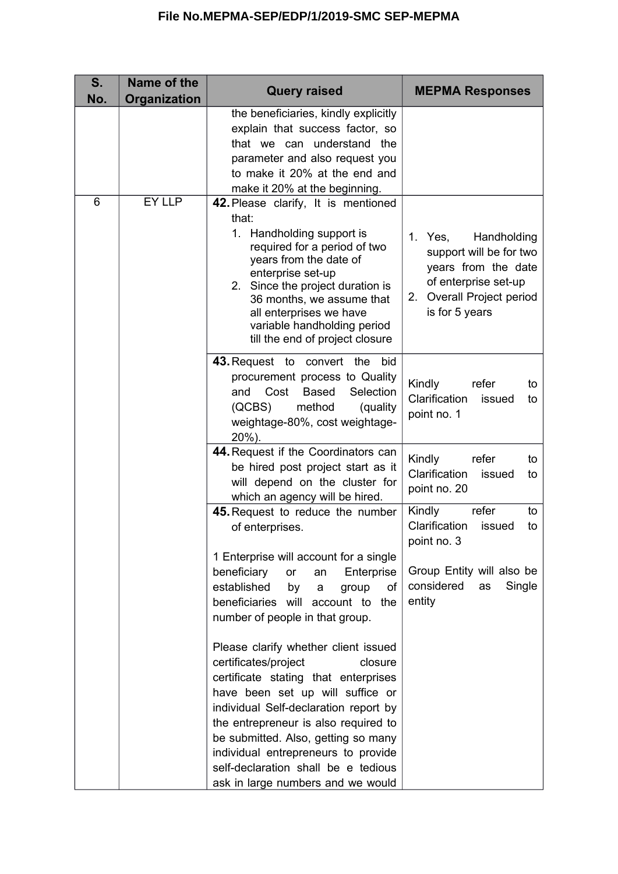| S.<br>No. | Name of the<br>Organization | <b>Query raised</b>                                                                                                                                                                                                                                                                                                                                                                            | <b>MEPMA Responses</b>                                                                                                                          |
|-----------|-----------------------------|------------------------------------------------------------------------------------------------------------------------------------------------------------------------------------------------------------------------------------------------------------------------------------------------------------------------------------------------------------------------------------------------|-------------------------------------------------------------------------------------------------------------------------------------------------|
|           |                             | the beneficiaries, kindly explicitly<br>explain that success factor, so<br>that we can understand the<br>parameter and also request you<br>to make it 20% at the end and<br>make it 20% at the beginning.                                                                                                                                                                                      |                                                                                                                                                 |
| 6         | EY LLP                      | 42. Please clarify, It is mentioned<br>that:<br>1. Handholding support is<br>required for a period of two<br>years from the date of<br>enterprise set-up<br>2. Since the project duration is<br>36 months, we assume that<br>all enterprises we have<br>variable handholding period<br>till the end of project closure                                                                         | Handholding<br>1. Yes,<br>support will be for two<br>years from the date<br>of enterprise set-up<br>2. Overall Project period<br>is for 5 years |
|           |                             | 43. Request to convert the<br>bid<br>procurement process to Quality<br>Selection<br>Cost<br><b>Based</b><br>and<br>method<br>(QCBS)<br>(quality<br>weightage-80%, cost weightage-<br>20%).                                                                                                                                                                                                     | Kindly<br>refer<br>to<br>Clarification<br>issued<br>to<br>point no. 1                                                                           |
|           |                             | 44. Request if the Coordinators can<br>be hired post project start as it<br>will depend on the cluster for<br>which an agency will be hired.                                                                                                                                                                                                                                                   | Kindly<br>refer<br>to<br>Clarification<br>issued<br>to<br>point no. 20                                                                          |
|           |                             | 45. Request to reduce the number<br>of enterprises.                                                                                                                                                                                                                                                                                                                                            | Kindly<br>refer<br>to<br>Clarification<br>issued<br>to<br>point no. 3                                                                           |
|           |                             | 1 Enterprise will account for a single<br>beneficiary<br>Enterprise<br>or<br>an<br>established<br>of<br>by<br>group<br>a<br>beneficiaries will account to<br>the<br>number of people in that group.                                                                                                                                                                                            | Group Entity will also be<br>considered<br>Single<br>as<br>entity                                                                               |
|           |                             | Please clarify whether client issued<br>certificates/project<br>closure<br>certificate stating that enterprises<br>have been set up will suffice or<br>individual Self-declaration report by<br>the entrepreneur is also required to<br>be submitted. Also, getting so many<br>individual entrepreneurs to provide<br>self-declaration shall be e tedious<br>ask in large numbers and we would |                                                                                                                                                 |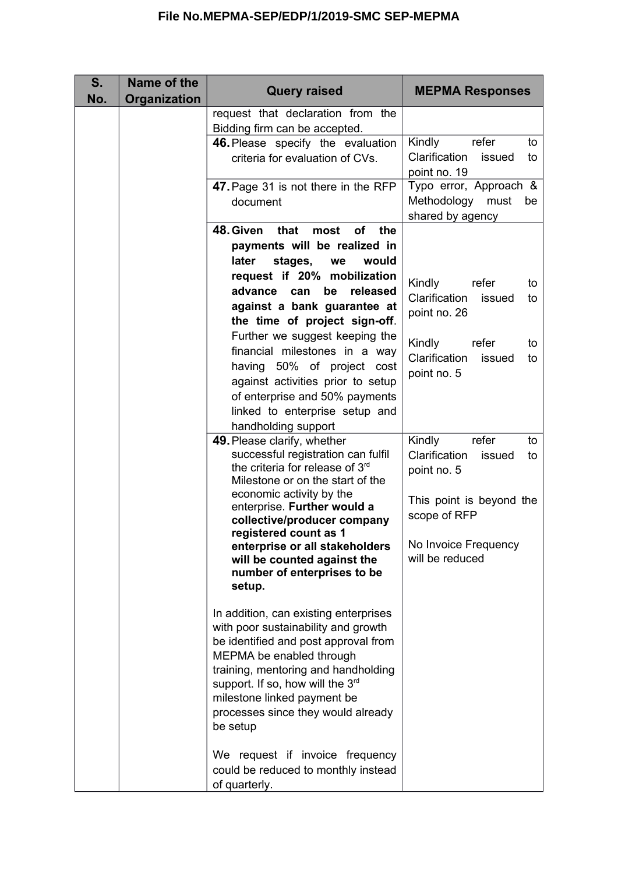| S.<br>No. | Name of the<br>Organization | <b>Query raised</b>                                                | <b>MEPMA Responses</b>                           |
|-----------|-----------------------------|--------------------------------------------------------------------|--------------------------------------------------|
|           |                             | request that declaration from the<br>Bidding firm can be accepted. |                                                  |
|           |                             | 46. Please specify the evaluation                                  | Kindly<br>refer<br>to                            |
|           |                             | criteria for evaluation of CVs.                                    | Clarification<br>issued<br>to                    |
|           |                             |                                                                    | point no. 19                                     |
|           |                             | 47. Page 31 is not there in the RFP                                | Typo error, Approach &<br>Methodology must<br>be |
|           |                             | document                                                           | shared by agency                                 |
|           |                             | 48. Given<br>that<br><b>of</b><br>the<br>most                      |                                                  |
|           |                             | payments will be realized in                                       |                                                  |
|           |                             | later<br>stages,<br>we<br>would                                    |                                                  |
|           |                             | request if 20% mobilization                                        | Kindly<br>refer<br>to                            |
|           |                             | advance<br>can<br>be<br>released                                   | Clarification<br>issued<br>to                    |
|           |                             | against a bank guarantee at<br>the time of project sign-off.       | point no. 26                                     |
|           |                             | Further we suggest keeping the                                     |                                                  |
|           |                             | financial milestones in a way                                      | Kindly<br>refer<br>to                            |
|           |                             | having 50% of project cost                                         | Clarification<br>issued<br>to<br>point no. 5     |
|           |                             | against activities prior to setup                                  |                                                  |
|           |                             | of enterprise and 50% payments                                     |                                                  |
|           |                             | linked to enterprise setup and                                     |                                                  |
|           |                             | handholding support<br>49. Please clarify, whether                 | Kindly<br>refer<br>to                            |
|           |                             | successful registration can fulfil                                 | Clarification<br>issued<br>to                    |
|           |                             | the criteria for release of 3 <sup>rd</sup>                        | point no. 5                                      |
|           |                             | Milestone or on the start of the<br>economic activity by the       |                                                  |
|           |                             | enterprise. Further would a                                        | This point is beyond the                         |
|           |                             | collective/producer company                                        | scope of RFP                                     |
|           |                             | registered count as 1                                              | No Invoice Frequency                             |
|           |                             | enterprise or all stakeholders<br>will be counted against the      | will be reduced                                  |
|           |                             | number of enterprises to be                                        |                                                  |
|           |                             | setup.                                                             |                                                  |
|           |                             | In addition, can existing enterprises                              |                                                  |
|           |                             | with poor sustainability and growth                                |                                                  |
|           |                             | be identified and post approval from                               |                                                  |
|           |                             | MEPMA be enabled through                                           |                                                  |
|           |                             | training, mentoring and handholding                                |                                                  |
|           |                             | support. If so, how will the 3rd<br>milestone linked payment be    |                                                  |
|           |                             | processes since they would already                                 |                                                  |
|           |                             | be setup                                                           |                                                  |
|           |                             | We request if invoice frequency                                    |                                                  |
|           |                             | could be reduced to monthly instead                                |                                                  |
|           |                             | of quarterly.                                                      |                                                  |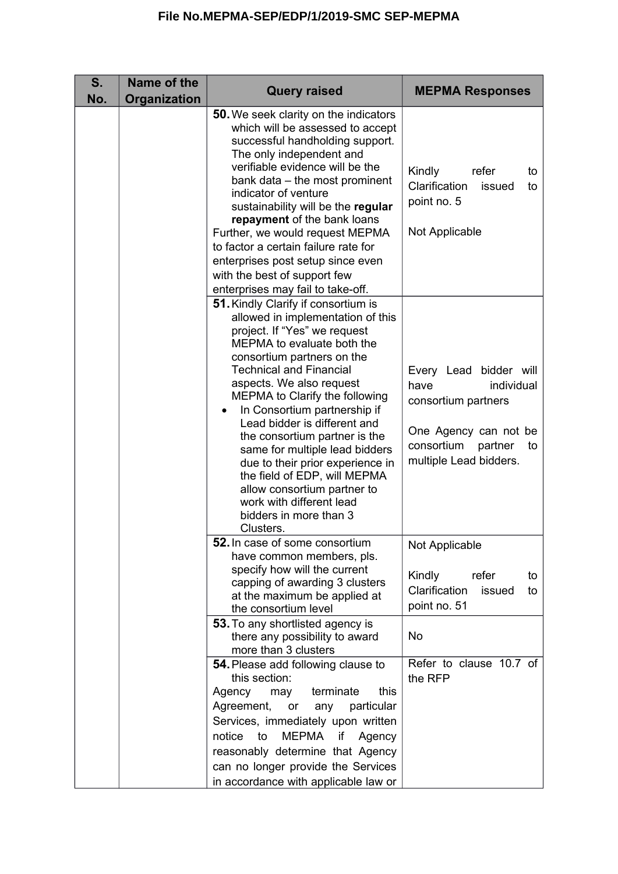| S.<br>No. | Name of the<br>Organization | <b>Query raised</b>                                                                                                                                                                                                                                                                                                                                                                                                                                                                                                                                                           | <b>MEPMA Responses</b>                                                                                                                                |
|-----------|-----------------------------|-------------------------------------------------------------------------------------------------------------------------------------------------------------------------------------------------------------------------------------------------------------------------------------------------------------------------------------------------------------------------------------------------------------------------------------------------------------------------------------------------------------------------------------------------------------------------------|-------------------------------------------------------------------------------------------------------------------------------------------------------|
|           |                             | <b>50.</b> We seek clarity on the indicators<br>which will be assessed to accept<br>successful handholding support.<br>The only independent and<br>verifiable evidence will be the<br>bank data – the most prominent<br>indicator of venture<br>sustainability will be the regular<br>repayment of the bank loans<br>Further, we would request MEPMA<br>to factor a certain failure rate for<br>enterprises post setup since even<br>with the best of support few<br>enterprises may fail to take-off.                                                                        | Kindly<br>refer<br>to<br>Clarification<br>issued<br>to<br>point no. 5<br>Not Applicable                                                               |
|           |                             | 51. Kindly Clarify if consortium is<br>allowed in implementation of this<br>project. If "Yes" we request<br>MEPMA to evaluate both the<br>consortium partners on the<br><b>Technical and Financial</b><br>aspects. We also request<br>MEPMA to Clarify the following<br>In Consortium partnership if<br>Lead bidder is different and<br>the consortium partner is the<br>same for multiple lead bidders<br>due to their prior experience in<br>the field of EDP, will MEPMA<br>allow consortium partner to<br>work with different lead<br>bidders in more than 3<br>Clusters. | Every Lead bidder will<br>have<br>individual<br>consortium partners<br>One Agency can not be<br>consortium<br>partner<br>to<br>multiple Lead bidders. |
|           |                             | <b>52.</b> In case of some consortium<br>have common members, pls.<br>specify how will the current<br>capping of awarding 3 clusters<br>at the maximum be applied at<br>the consortium level<br>53. To any shortlisted agency is<br>there any possibility to award                                                                                                                                                                                                                                                                                                            | Not Applicable<br>Kindly<br>refer<br>to<br>Clarification<br>issued<br>to<br>point no. 51<br><b>No</b>                                                 |
|           |                             | more than 3 clusters<br>54. Please add following clause to<br>this section:<br>terminate<br>this<br>Agency<br>may<br>Agreement,<br>particular<br>or<br>any<br>Services, immediately upon written<br><b>MEPMA</b><br>notice<br>to<br>Agency<br>if<br>reasonably determine that Agency<br>can no longer provide the Services<br>in accordance with applicable law or                                                                                                                                                                                                            | Refer to clause 10.7 of<br>the RFP                                                                                                                    |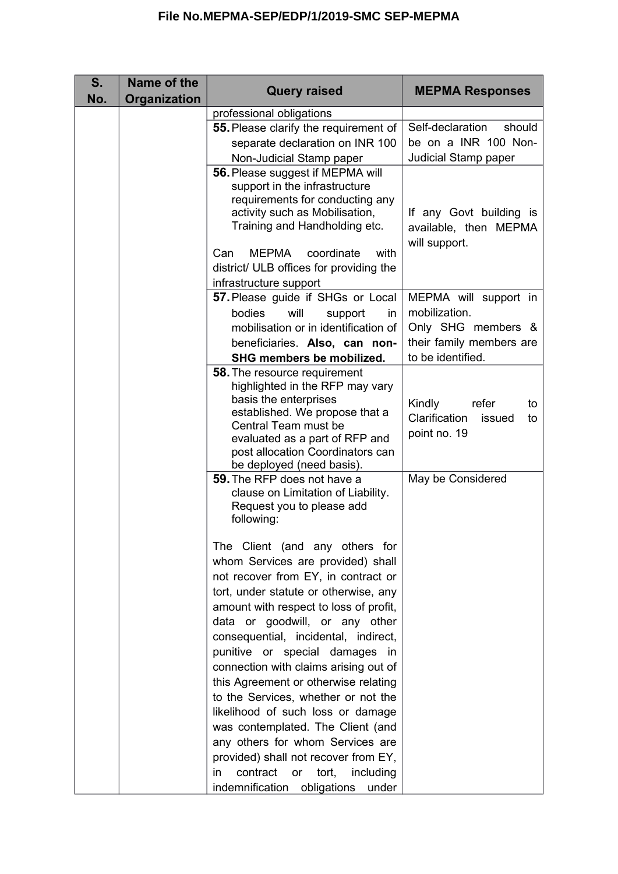| S.<br>No. | Name of the<br>Organization | <b>Query raised</b>                                                                                                                                                                                                                                                                                           | <b>MEPMA Responses</b>                                                 |
|-----------|-----------------------------|---------------------------------------------------------------------------------------------------------------------------------------------------------------------------------------------------------------------------------------------------------------------------------------------------------------|------------------------------------------------------------------------|
|           |                             | professional obligations                                                                                                                                                                                                                                                                                      |                                                                        |
|           |                             | 55. Please clarify the requirement of                                                                                                                                                                                                                                                                         | Self-declaration<br>should                                             |
|           |                             | separate declaration on INR 100                                                                                                                                                                                                                                                                               | be on a INR 100 Non-                                                   |
|           |                             | Non-Judicial Stamp paper                                                                                                                                                                                                                                                                                      | Judicial Stamp paper                                                   |
|           |                             | 56. Please suggest if MEPMA will<br>support in the infrastructure<br>requirements for conducting any<br>activity such as Mobilisation,<br>Training and Handholding etc.                                                                                                                                       | If any Govt building is<br>available, then MEPMA<br>will support.      |
|           |                             | MEPMA coordinate<br>Can<br>with                                                                                                                                                                                                                                                                               |                                                                        |
|           |                             | district/ ULB offices for providing the                                                                                                                                                                                                                                                                       |                                                                        |
|           |                             | infrastructure support                                                                                                                                                                                                                                                                                        |                                                                        |
|           |                             | 57. Please guide if SHGs or Local                                                                                                                                                                                                                                                                             | MEPMA will support in                                                  |
|           |                             | bodies<br>will<br>support<br>in                                                                                                                                                                                                                                                                               | mobilization.                                                          |
|           |                             | mobilisation or in identification of                                                                                                                                                                                                                                                                          | Only SHG members &                                                     |
|           |                             | beneficiaries. Also, can non-                                                                                                                                                                                                                                                                                 | their family members are                                               |
|           |                             | SHG members be mobilized.                                                                                                                                                                                                                                                                                     | to be identified.                                                      |
|           |                             | <b>58.</b> The resource requirement<br>highlighted in the RFP may vary<br>basis the enterprises<br>established. We propose that a<br>Central Team must be<br>evaluated as a part of RFP and<br>post allocation Coordinators can                                                                               | Kindly<br>refer<br>to<br>Clarification<br>issued<br>to<br>point no. 19 |
|           |                             | be deployed (need basis).<br><b>59.</b> The RFP does not have a<br>clause on Limitation of Liability.<br>Request you to please add<br>following:                                                                                                                                                              | May be Considered                                                      |
|           |                             | The Client (and any others for<br>whom Services are provided) shall<br>not recover from EY, in contract or<br>tort, under statute or otherwise, any<br>amount with respect to loss of profit,                                                                                                                 |                                                                        |
|           |                             | data or goodwill, or any other<br>consequential, incidental, indirect,<br>punitive or special damages<br>in<br>connection with claims arising out of<br>this Agreement or otherwise relating<br>to the Services, whether or not the<br>likelihood of such loss or damage<br>was contemplated. The Client (and |                                                                        |
|           |                             | any others for whom Services are<br>provided) shall not recover from EY,<br>contract<br>tort,<br>including<br>or<br>in<br>indemnification obligations<br>under                                                                                                                                                |                                                                        |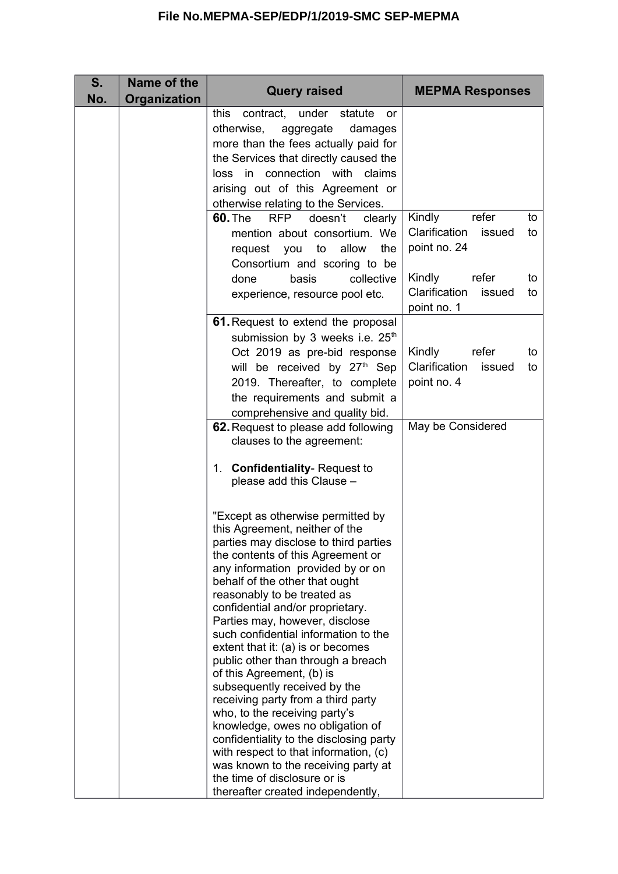|                                                                                                                                                                                                                                                                                                                                                                                                                                                                                                                                                                                                                                                                                                                                                                                     | <b>MEPMA Responses</b>                                                                              |
|-------------------------------------------------------------------------------------------------------------------------------------------------------------------------------------------------------------------------------------------------------------------------------------------------------------------------------------------------------------------------------------------------------------------------------------------------------------------------------------------------------------------------------------------------------------------------------------------------------------------------------------------------------------------------------------------------------------------------------------------------------------------------------------|-----------------------------------------------------------------------------------------------------|
| this<br>contract, under statute<br><u>or</u><br>otherwise,<br>aggregate<br>damages<br>more than the fees actually paid for<br>the Services that directly caused the<br>connection with<br>in<br>claims<br>loss<br>arising out of this Agreement or<br>otherwise relating to the Services.                                                                                                                                                                                                                                                                                                                                                                                                                                                                                           |                                                                                                     |
| <b>60. The</b><br>doesn't<br><b>RFP</b><br>clearly<br>mention about consortium. We<br>allow<br>the<br>request<br>you<br>to                                                                                                                                                                                                                                                                                                                                                                                                                                                                                                                                                                                                                                                          | Kindly<br>refer<br>to<br>Clarification<br>issued<br>to<br>point no. 24                              |
| collective<br>basis<br>done<br>experience, resource pool etc.                                                                                                                                                                                                                                                                                                                                                                                                                                                                                                                                                                                                                                                                                                                       | Kindly<br>refer<br>to<br>Clarification<br>issued<br>to<br>point no. 1                               |
| 61. Request to extend the proposal<br>submission by 3 weeks i.e. 25 <sup>th</sup><br>Oct 2019 as pre-bid response<br>will be received by 27 <sup>th</sup> Sep<br>2019. Thereafter, to complete<br>the requirements and submit a                                                                                                                                                                                                                                                                                                                                                                                                                                                                                                                                                     | Kindly<br>refer<br>to<br>Clarification<br>issued<br>to<br>point no. 4                               |
| 62. Request to please add following<br>clauses to the agreement:<br>1. Confidentiality-Request to<br>please add this Clause -                                                                                                                                                                                                                                                                                                                                                                                                                                                                                                                                                                                                                                                       | May be Considered                                                                                   |
| "Except as otherwise permitted by<br>this Agreement, neither of the<br>parties may disclose to third parties<br>the contents of this Agreement or<br>any information provided by or on<br>behalf of the other that ought<br>reasonably to be treated as<br>confidential and/or proprietary.<br>Parties may, however, disclose<br>such confidential information to the<br>extent that it: (a) is or becomes<br>public other than through a breach<br>of this Agreement, (b) is<br>subsequently received by the<br>receiving party from a third party<br>who, to the receiving party's<br>knowledge, owes no obligation of<br>confidentiality to the disclosing party<br>with respect to that information, (c)<br>was known to the receiving party at<br>the time of disclosure or is |                                                                                                     |
|                                                                                                                                                                                                                                                                                                                                                                                                                                                                                                                                                                                                                                                                                                                                                                                     | Consortium and scoring to be<br>comprehensive and quality bid.<br>thereafter created independently, |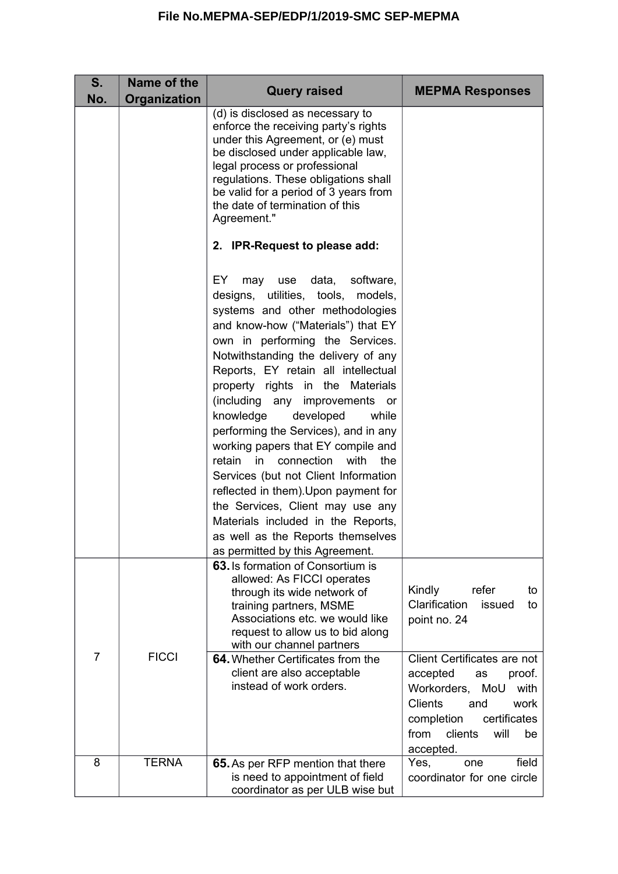| S.<br>No.      | Name of the<br>Organization | <b>Query raised</b>                                                                                                                                                                                                                                                                                                                                                                                                                                                                                                                                                                                                                                                                                                                     | <b>MEPMA Responses</b>                                                                                                                                                                                                         |
|----------------|-----------------------------|-----------------------------------------------------------------------------------------------------------------------------------------------------------------------------------------------------------------------------------------------------------------------------------------------------------------------------------------------------------------------------------------------------------------------------------------------------------------------------------------------------------------------------------------------------------------------------------------------------------------------------------------------------------------------------------------------------------------------------------------|--------------------------------------------------------------------------------------------------------------------------------------------------------------------------------------------------------------------------------|
|                |                             | (d) is disclosed as necessary to<br>enforce the receiving party's rights<br>under this Agreement, or (e) must<br>be disclosed under applicable law,<br>legal process or professional<br>regulations. These obligations shall<br>be valid for a period of 3 years from<br>the date of termination of this<br>Agreement."                                                                                                                                                                                                                                                                                                                                                                                                                 |                                                                                                                                                                                                                                |
|                |                             | 2. IPR-Request to please add:                                                                                                                                                                                                                                                                                                                                                                                                                                                                                                                                                                                                                                                                                                           |                                                                                                                                                                                                                                |
|                |                             | EY.<br>may use data,<br>software,<br>designs, utilities, tools, models,<br>systems and other methodologies<br>and know-how ("Materials") that EY<br>own in performing the Services.<br>Notwithstanding the delivery of any<br>Reports, EY retain all intellectual<br>property rights in the Materials<br>(including any improvements or<br>knowledge<br>developed<br>while<br>performing the Services), and in any<br>working papers that EY compile and<br>retain<br>connection<br>with<br>in<br>the<br>Services (but not Client Information<br>reflected in them). Upon payment for<br>the Services, Client may use any<br>Materials included in the Reports,<br>as well as the Reports themselves<br>as permitted by this Agreement. |                                                                                                                                                                                                                                |
| $\overline{7}$ | <b>FICCI</b>                | 63. Is formation of Consortium is<br>allowed: As FICCI operates<br>through its wide network of<br>training partners, MSME<br>Associations etc. we would like<br>request to allow us to bid along<br>with our channel partners<br>64. Whether Certificates from the<br>client are also acceptable<br>instead of work orders.                                                                                                                                                                                                                                                                                                                                                                                                             | Kindly<br>refer<br>to<br>Clarification<br>issued<br>to<br>point no. 24<br>Client Certificates are not<br>accepted<br>proof.<br>as<br>Workorders,<br>MoU<br>with<br><b>Clients</b><br>work<br>and<br>certificates<br>completion |
|                |                             |                                                                                                                                                                                                                                                                                                                                                                                                                                                                                                                                                                                                                                                                                                                                         | from<br>clients<br>will<br>be<br>accepted.                                                                                                                                                                                     |
| 8              | <b>TERNA</b>                | 65. As per RFP mention that there<br>is need to appointment of field<br>coordinator as per ULB wise but                                                                                                                                                                                                                                                                                                                                                                                                                                                                                                                                                                                                                                 | field<br>Yes,<br>one<br>coordinator for one circle                                                                                                                                                                             |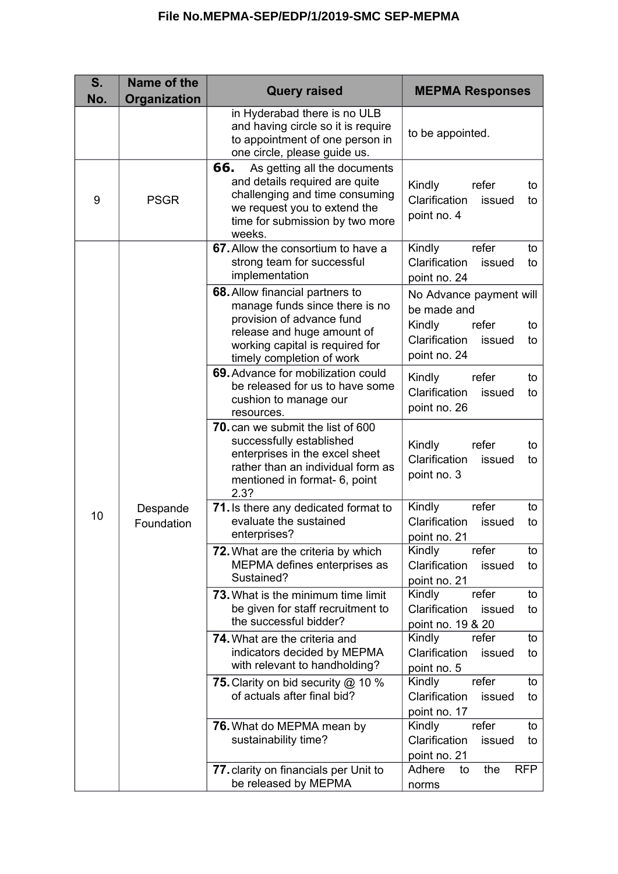| S.<br>No. | Name of the<br>Organization | <b>Query raised</b>                                                                                                                                                                                 | <b>MEPMA Responses</b>                                                                                           |
|-----------|-----------------------------|-----------------------------------------------------------------------------------------------------------------------------------------------------------------------------------------------------|------------------------------------------------------------------------------------------------------------------|
|           |                             | in Hyderabad there is no ULB<br>and having circle so it is require<br>to appointment of one person in<br>one circle, please guide us.                                                               | to be appointed.                                                                                                 |
| 9         | <b>PSGR</b>                 | 66.<br>As getting all the documents<br>and details required are quite<br>challenging and time consuming<br>we request you to extend the<br>time for submission by two more<br>weeks.                | Kindly<br>refer<br>to<br>Clarification<br>issued<br>to<br>point no. 4                                            |
| 10        | Despande<br>Foundation      | 67. Allow the consortium to have a<br>strong team for successful<br>implementation                                                                                                                  | Kindly<br>refer<br>to<br>Clarification<br>issued<br>to<br>point no. 24                                           |
|           |                             | <b>68.</b> Allow financial partners to<br>manage funds since there is no<br>provision of advance fund<br>release and huge amount of<br>working capital is required for<br>timely completion of work | No Advance payment will<br>be made and<br>Kindly<br>refer<br>to<br>Clarification<br>issued<br>to<br>point no. 24 |
|           |                             | 69. Advance for mobilization could<br>be released for us to have some<br>cushion to manage our<br>resources.                                                                                        | Kindly<br>refer<br>to<br>Clarification<br>issued<br>to<br>point no. 26                                           |
|           |                             | <b>70.</b> can we submit the list of 600<br>successfully established<br>enterprises in the excel sheet<br>rather than an individual form as<br>mentioned in format- 6, point<br>2.3?                | Kindly<br>refer<br>to<br>Clarification<br>issued<br>to<br>point no. 3                                            |
|           |                             | 71. Is there any dedicated format to<br>evaluate the sustained<br>enterprises?                                                                                                                      | Kindly<br>refer<br>to<br>Clarification<br>issued<br>to<br>point no. 21                                           |
|           |                             | <b>72.</b> What are the criteria by which<br>MEPMA defines enterprises as<br>Sustained?                                                                                                             | Kindly<br>to<br>refer<br>Clarification<br>issued<br>to<br>point no. 21                                           |
|           |                             | <b>73.</b> What is the minimum time limit<br>be given for staff recruitment to<br>the successful bidder?                                                                                            | Kindly<br>refer<br>to<br>Clarification<br>issued<br>to<br>point no. 19 & 20                                      |
|           |                             | <b>74.</b> What are the criteria and<br>indicators decided by MEPMA<br>with relevant to handholding?                                                                                                | Kindly<br>refer<br>to<br>Clarification<br>issued<br>to<br>point no. 5                                            |
|           |                             | <b>75.</b> Clarity on bid security @ 10 %<br>of actuals after final bid?                                                                                                                            | refer<br>Kindly<br>to<br>Clarification<br>issued<br>to<br>point no. 17                                           |
|           |                             | 76. What do MEPMA mean by<br>sustainability time?                                                                                                                                                   | Kindly<br>refer<br>to<br>Clarification<br>issued<br>to<br>point no. 21                                           |
|           |                             | 77. clarity on financials per Unit to<br>be released by MEPMA                                                                                                                                       | Adhere<br>the<br><b>RFP</b><br>to<br>norms                                                                       |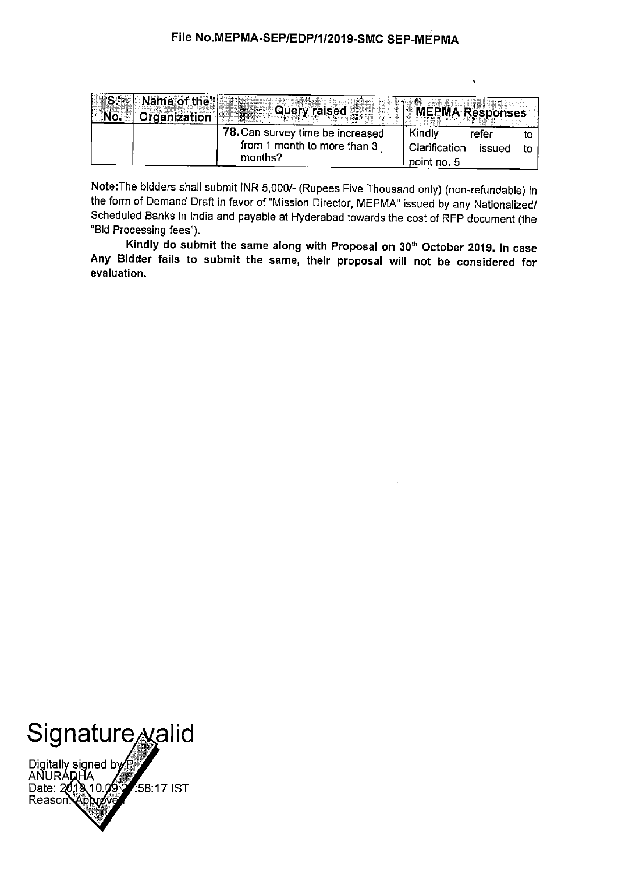| <b>No.</b> | S. Name of the<br><b>Crganization</b> | <b>Query raised</b>                                                        | MEPMA Responses                        |                 |  |
|------------|---------------------------------------|----------------------------------------------------------------------------|----------------------------------------|-----------------|--|
|            |                                       | 78. Can survey time be increased<br>from 1 month to more than 3<br>months? | Kindly<br>Clarification<br>point no. 5 | refer<br>issued |  |

Note: The bidders shall submit INR 5,000/- (Rupees Five Thousand only) (non-refundable) in the form of Demand Draft in favor of "Mission Director, MEPMA" issued by any Nationalized/ Scheduled Banks in India and payable at Hyderabad towards the cost of RFP document (the "Bid Processing fees").

Kindly do submit the same along with Proposal on 30<sup>th</sup> October 2019. In case Any Bidder fails to submit the same, their proposal will not be considered for evaluation.



Digitally signed by P<br>ANURADHA<br>Date: 2018 10.09 **7:58:17 IST** Äp **้<br>โมอ์**ง๊ค Reason.